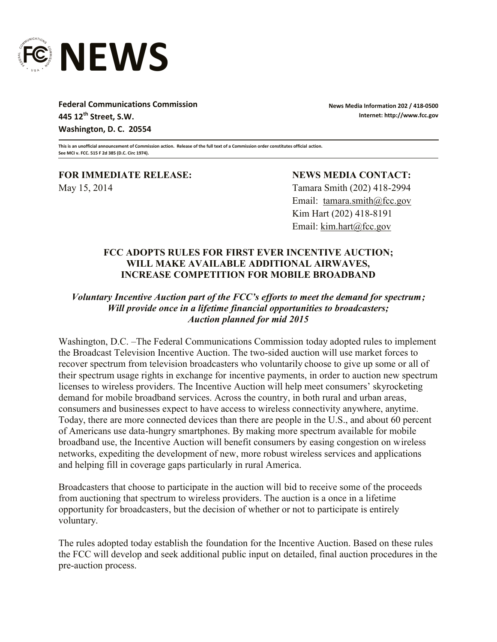

**Federal Communications Commission 445 12th Street, S.W. Washington, D. C. 20554**

**News Media Information 202 / 418-0500 Internet: http://www.fcc.gov**

**This is an unofficial announcement of Commission action. Release of the full text of a Commission order constitutes official action. See MCI v. FCC. 515 F 2d 385 (D.C. Circ 1974).**

**FOR IMMEDIATE RELEASE: NEWS MEDIA CONTACT:** May 15, 2014 Tamara Smith (202) 418-2994

Email: tamara.smith@fcc.gov Kim Hart (202) 418-8191 Email: kim.hart@fcc.gov

## **FCC ADOPTS RULES FOR FIRST EVER INCENTIVE AUCTION; WILL MAKE AVAILABLE ADDITIONAL AIRWAVES, INCREASE COMPETITION FOR MOBILE BROADBAND**

## *Voluntary Incentive Auction part of the FCC's efforts to meet the demand for spectrum; Will provide once in a lifetime financial opportunities to broadcasters; Auction planned for mid 2015*

Washington, D.C. –The Federal Communications Commission today adopted rules to implement the Broadcast Television Incentive Auction. The two-sided auction will use market forces to recover spectrum from television broadcasters who voluntarily choose to give up some or all of their spectrum usage rights in exchange for incentive payments, in order to auction new spectrum licenses to wireless providers. The Incentive Auction will help meet consumers' skyrocketing demand for mobile broadband services. Across the country, in both rural and urban areas, consumers and businesses expect to have access to wireless connectivity anywhere, anytime. Today, there are more connected devices than there are people in the U.S., and about 60 percent of Americans use data-hungry smartphones. By making more spectrum available for mobile broadband use, the Incentive Auction will benefit consumers by easing congestion on wireless networks, expediting the development of new, more robust wireless services and applications and helping fill in coverage gaps particularly in rural America.

Broadcasters that choose to participate in the auction will bid to receive some of the proceeds from auctioning that spectrum to wireless providers. The auction is a once in a lifetime opportunity for broadcasters, but the decision of whether or not to participate is entirely voluntary.

The rules adopted today establish the foundation for the Incentive Auction. Based on these rules the FCC will develop and seek additional public input on detailed, final auction procedures in the pre-auction process.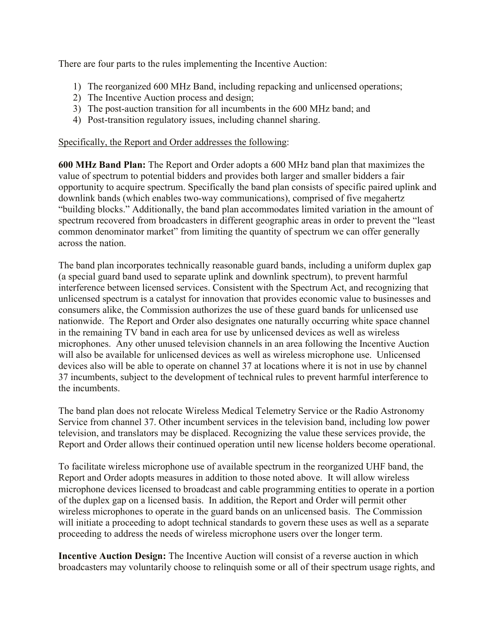There are four parts to the rules implementing the Incentive Auction:

- 1) The reorganized 600 MHz Band, including repacking and unlicensed operations;
- 2) The Incentive Auction process and design;
- 3) The post-auction transition for all incumbents in the 600 MHz band; and
- 4) Post-transition regulatory issues, including channel sharing.

## Specifically, the Report and Order addresses the following:

**600 MHz Band Plan:** The Report and Order adopts a 600 MHz band plan that maximizes the value of spectrum to potential bidders and provides both larger and smaller bidders a fair opportunity to acquire spectrum. Specifically the band plan consists of specific paired uplink and downlink bands (which enables two-way communications), comprised of five megahertz "building blocks." Additionally, the band plan accommodates limited variation in the amount of spectrum recovered from broadcasters in different geographic areas in order to prevent the "least common denominator market" from limiting the quantity of spectrum we can offer generally across the nation.

The band plan incorporates technically reasonable guard bands, including a uniform duplex gap (a special guard band used to separate uplink and downlink spectrum), to prevent harmful interference between licensed services. Consistent with the Spectrum Act, and recognizing that unlicensed spectrum is a catalyst for innovation that provides economic value to businesses and consumers alike, the Commission authorizes the use of these guard bands for unlicensed use nationwide. The Report and Order also designates one naturally occurring white space channel in the remaining TV band in each area for use by unlicensed devices as well as wireless microphones. Any other unused television channels in an area following the Incentive Auction will also be available for unlicensed devices as well as wireless microphone use. Unlicensed devices also will be able to operate on channel 37 at locations where it is not in use by channel 37 incumbents, subject to the development of technical rules to prevent harmful interference to the incumbents.

The band plan does not relocate Wireless Medical Telemetry Service or the Radio Astronomy Service from channel 37. Other incumbent services in the television band, including low power television, and translators may be displaced. Recognizing the value these services provide, the Report and Order allows their continued operation until new license holders become operational.

To facilitate wireless microphone use of available spectrum in the reorganized UHF band, the Report and Order adopts measures in addition to those noted above. It will allow wireless microphone devices licensed to broadcast and cable programming entities to operate in a portion of the duplex gap on a licensed basis. In addition, the Report and Order will permit other wireless microphones to operate in the guard bands on an unlicensed basis. The Commission will initiate a proceeding to adopt technical standards to govern these uses as well as a separate proceeding to address the needs of wireless microphone users over the longer term.

**Incentive Auction Design:** The Incentive Auction will consist of a reverse auction in which broadcasters may voluntarily choose to relinquish some or all of their spectrum usage rights, and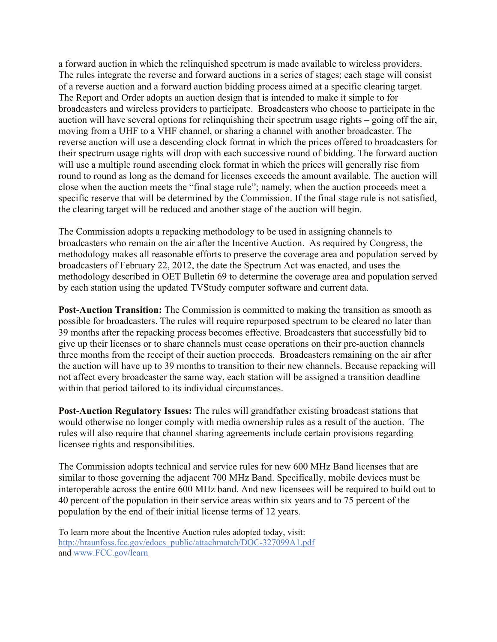a forward auction in which the relinquished spectrum is made available to wireless providers. The rules integrate the reverse and forward auctions in a series of stages; each stage will consist of a reverse auction and a forward auction bidding process aimed at a specific clearing target. The Report and Order adopts an auction design that is intended to make it simple to for broadcasters and wireless providers to participate. Broadcasters who choose to participate in the auction will have several options for relinquishing their spectrum usage rights – going off the air, moving from a UHF to a VHF channel, or sharing a channel with another broadcaster. The reverse auction will use a descending clock format in which the prices offered to broadcasters for their spectrum usage rights will drop with each successive round of bidding. The forward auction will use a multiple round ascending clock format in which the prices will generally rise from round to round as long as the demand for licenses exceeds the amount available. The auction will close when the auction meets the "final stage rule"; namely, when the auction proceeds meet a specific reserve that will be determined by the Commission. If the final stage rule is not satisfied, the clearing target will be reduced and another stage of the auction will begin.

The Commission adopts a repacking methodology to be used in assigning channels to broadcasters who remain on the air after the Incentive Auction. As required by Congress, the methodology makes all reasonable efforts to preserve the coverage area and population served by broadcasters of February 22, 2012, the date the Spectrum Act was enacted, and uses the methodology described in OET Bulletin 69 to determine the coverage area and population served by each station using the updated TVStudy computer software and current data.

**Post-Auction Transition:** The Commission is committed to making the transition as smooth as possible for broadcasters. The rules will require repurposed spectrum to be cleared no later than 39 months after the repacking process becomes effective. Broadcasters that successfully bid to give up their licenses or to share channels must cease operations on their pre-auction channels three months from the receipt of their auction proceeds. Broadcasters remaining on the air after the auction will have up to 39 months to transition to their new channels. Because repacking will not affect every broadcaster the same way, each station will be assigned a transition deadline within that period tailored to its individual circumstances.

**Post-Auction Regulatory Issues:** The rules will grandfather existing broadcast stations that would otherwise no longer comply with media ownership rules as a result of the auction. The rules will also require that channel sharing agreements include certain provisions regarding licensee rights and responsibilities.

The Commission adopts technical and service rules for new 600 MHz Band licenses that are similar to those governing the adjacent 700 MHz Band. Specifically, mobile devices must be interoperable across the entire 600 MHz band. And new licensees will be required to build out to 40 percent of the population in their service areas within six years and to 75 percent of the population by the end of their initial license terms of 12 years.

To learn more about the Incentive Auction rules adopted today, visit: http://hraunfoss.fcc.gov/edocs\_public/attachmatch/DOC-327099A1.pdf and www.FCC.gov/learn